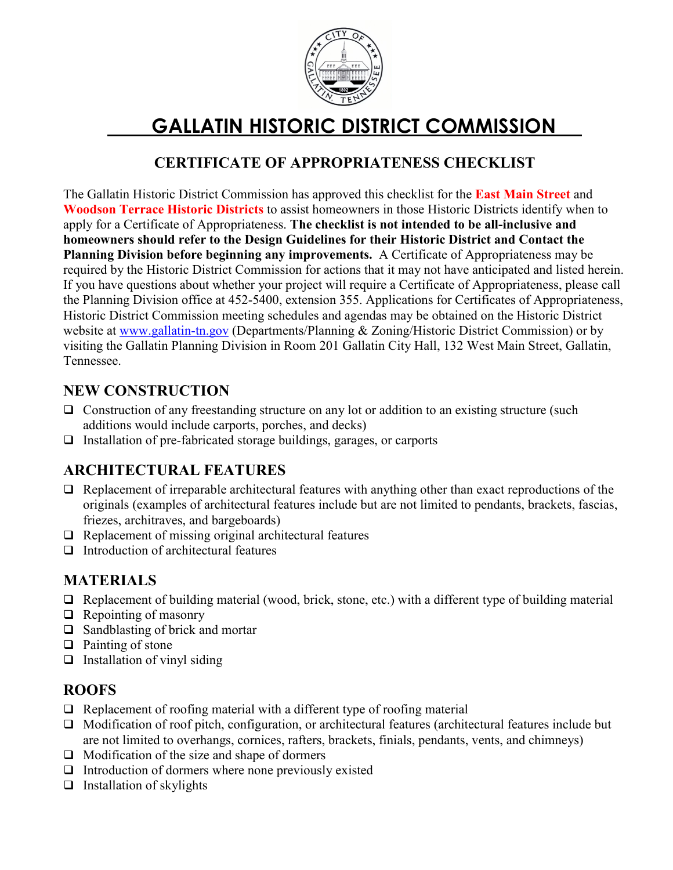

# GALLATIN HISTORIC DISTRICT COMMISSION

### CERTIFICATE OF APPROPRIATENESS CHECKLIST

The Gallatin Historic District Commission has approved this checklist for the **East Main Street** and Woodson Terrace Historic Districts to assist homeowners in those Historic Districts identify when to apply for a Certificate of Appropriateness. The checklist is not intended to be all-inclusive and homeowners should refer to the Design Guidelines for their Historic District and Contact the Planning Division before beginning any improvements. A Certificate of Appropriateness may be required by the Historic District Commission for actions that it may not have anticipated and listed herein. If you have questions about whether your project will require a Certificate of Appropriateness, please call the Planning Division office at 452-5400, extension 355. Applications for Certificates of Appropriateness, Historic District Commission meeting schedules and agendas may be obtained on the Historic District website at www.gallatin-tn.gov (Departments/Planning & Zoning/Historic District Commission) or by visiting the Gallatin Planning Division in Room 201 Gallatin City Hall, 132 West Main Street, Gallatin, Tennessee.

#### NEW CONSTRUCTION

- $\Box$  Construction of any freestanding structure on any lot or addition to an existing structure (such additions would include carports, porches, and decks)
- $\Box$  Installation of pre-fabricated storage buildings, garages, or carports

# ARCHITECTURAL FEATURES

- $\Box$  Replacement of irreparable architectural features with anything other than exact reproductions of the originals (examples of architectural features include but are not limited to pendants, brackets, fascias, friezes, architraves, and bargeboards)
- $\Box$  Replacement of missing original architectural features
- $\Box$  Introduction of architectural features

#### MATERIALS

- $\Box$  Replacement of building material (wood, brick, stone, etc.) with a different type of building material
- $\Box$  Repointing of masonry
- $\Box$  Sandblasting of brick and mortar
- $\Box$  Painting of stone
- $\Box$  Installation of vinyl siding

#### ROOFS

- $\Box$  Replacement of roofing material with a different type of roofing material
- $\Box$  Modification of roof pitch, configuration, or architectural features (architectural features include but are not limited to overhangs, cornices, rafters, brackets, finials, pendants, vents, and chimneys)
- $\Box$  Modification of the size and shape of dormers
- $\Box$  Introduction of dormers where none previously existed
- $\Box$  Installation of skylights